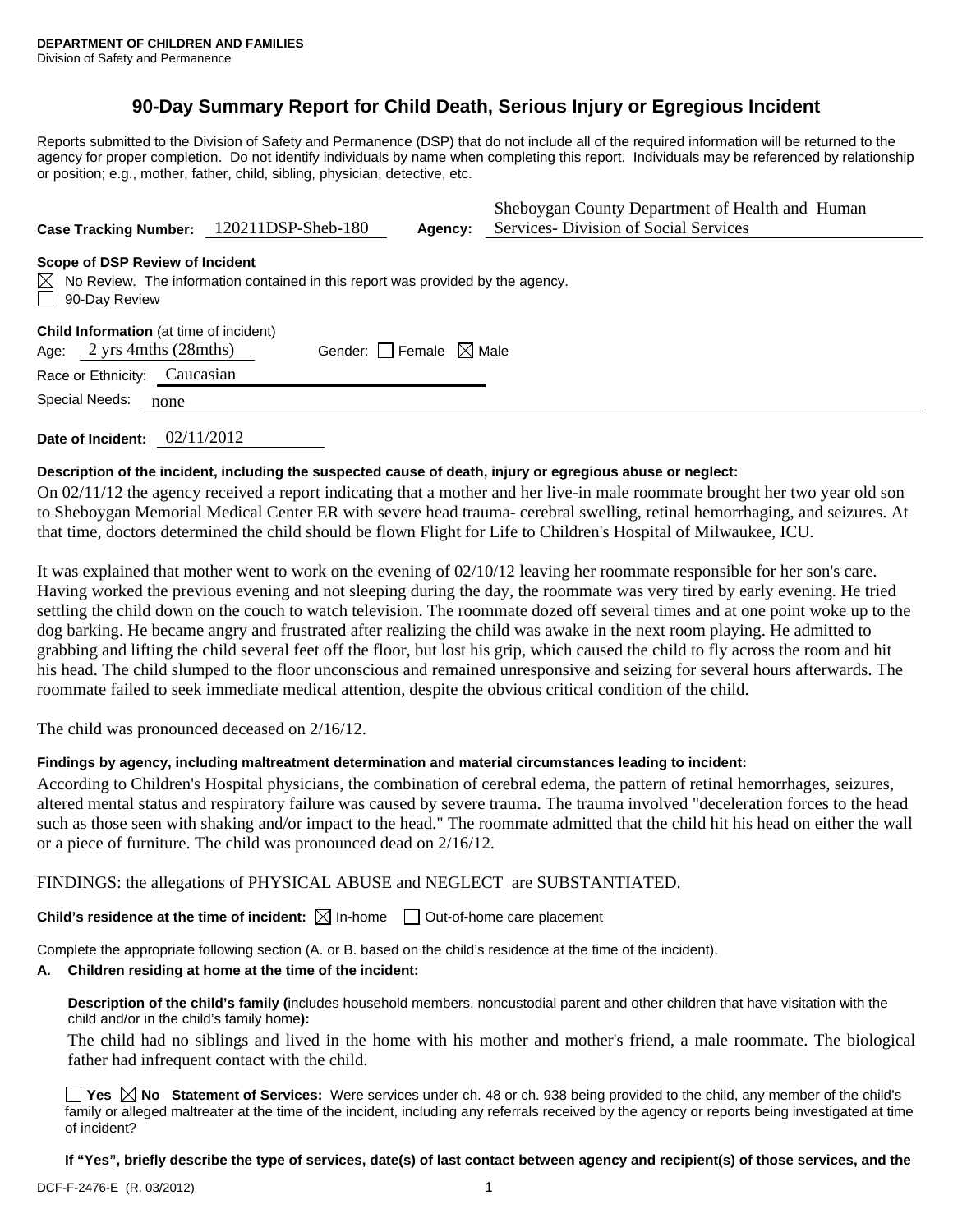# **90-Day Summary Report for Child Death, Serious Injury or Egregious Incident**

Reports submitted to the Division of Safety and Permanence (DSP) that do not include all of the required information will be returned to the agency for proper completion. Do not identify individuals by name when completing this report. Individuals may be referenced by relationship or position; e.g., mother, father, child, sibling, physician, detective, etc.

| Case Tracking Number: 120211DSP-Sheb-180                                                                                                                  |                                 | Agency: | Sheboygan County Department of Health and Human<br>Services- Division of Social Services |  |  |  |  |
|-----------------------------------------------------------------------------------------------------------------------------------------------------------|---------------------------------|---------|------------------------------------------------------------------------------------------|--|--|--|--|
| Scope of DSP Review of Incident<br>$\boxtimes$ No Review. The information contained in this report was provided by the agency.<br>$\Box$<br>90-Day Review |                                 |         |                                                                                          |  |  |  |  |
| <b>Child Information</b> (at time of incident)<br>Age: $2 \text{ yrs } 4 \text{ mths } (28 \text{ mths})$<br>Caucasian<br>Race or Ethnicity:              | Gender: Female $\boxtimes$ Male |         |                                                                                          |  |  |  |  |
| Special Needs:<br>none                                                                                                                                    |                                 |         |                                                                                          |  |  |  |  |

**Date of Incident:** 02/11/2012

## **Description of the incident, including the suspected cause of death, injury or egregious abuse or neglect:**

On 02/11/12 the agency received a report indicating that a mother and her live-in male roommate brought her two year old son to Sheboygan Memorial Medical Center ER with severe head trauma- cerebral swelling, retinal hemorrhaging, and seizures. At that time, doctors determined the child should be flown Flight for Life to Children's Hospital of Milwaukee, ICU.

It was explained that mother went to work on the evening of 02/10/12 leaving her roommate responsible for her son's care. Having worked the previous evening and not sleeping during the day, the roommate was very tired by early evening. He tried settling the child down on the couch to watch television. The roommate dozed off several times and at one point woke up to the dog barking. He became angry and frustrated after realizing the child was awake in the next room playing. He admitted to grabbing and lifting the child several feet off the floor, but lost his grip, which caused the child to fly across the room and hit his head. The child slumped to the floor unconscious and remained unresponsive and seizing for several hours afterwards. The roommate failed to seek immediate medical attention, despite the obvious critical condition of the child.

The child was pronounced deceased on 2/16/12.

## **Findings by agency, including maltreatment determination and material circumstances leading to incident:**

According to Children's Hospital physicians, the combination of cerebral edema, the pattern of retinal hemorrhages, seizures, altered mental status and respiratory failure was caused by severe trauma. The trauma involved "deceleration forces to the head such as those seen with shaking and/or impact to the head." The roommate admitted that the child hit his head on either the wall or a piece of furniture. The child was pronounced dead on 2/16/12.

FINDINGS: the allegations of PHYSICAL ABUSE and NEGLECT are SUBSTANTIATED.

**Child's residence at the time of incident:**  $\boxtimes$  In-home  $\Box$  Out-of-home care placement

Complete the appropriate following section (A. or B. based on the child's residence at the time of the incident).

#### **A. Children residing at home at the time of the incident:**

**Description of the child's family (**includes household members, noncustodial parent and other children that have visitation with the child and/or in the child's family home**):** 

The child had no siblings and lived in the home with his mother and mother's friend, a male roommate. The biological father had infrequent contact with the child.

■ Yes **No** Statement of Services: Were services under ch. 48 or ch. 938 being provided to the child, any member of the child's family or alleged maltreater at the time of the incident, including any referrals received by the agency or reports being investigated at time of incident?

**If "Yes", briefly describe the type of services, date(s) of last contact between agency and recipient(s) of those services, and the**